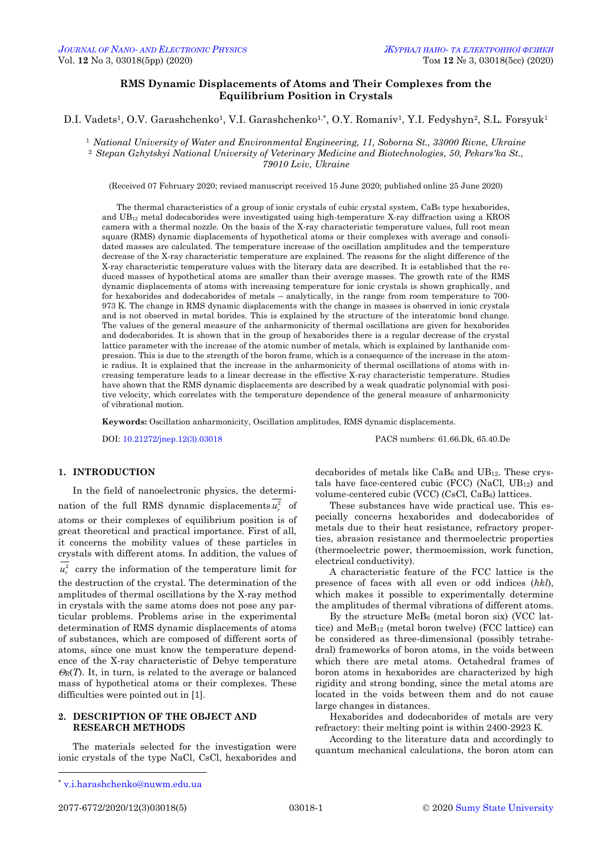# **RMS Dynamic Displacements of Atoms and Their Complexes from the Equilibrium Position in Crystals**

D.I. Vadets<sup>1</sup>, O.V. Garashchenko<sup>1</sup>, V.I. Garashchenko<sup>1,\*</sup>, O.Y. Romaniv<sup>1</sup>, Y.I. Fedyshyn<sup>2</sup>, S.L. Forsyuk<sup>1</sup>

<sup>1</sup> *National University of Water and Environmental Engineering, 11, Soborna St., 33000 Rivne, Ukraine* <sup>2</sup> *Stepan Gzhytskyi National University of Veterinary Medicine and Biotechnologies, 50, Pekars'ka St., 79010 Lviv, Ukraine*

(Received 07 February 2020; revised manuscript received 15 June 2020; published online 25 June 2020)

The thermal characteristics of a group of ionic crystals of cubic crystal system,  $CaBe$ <sub>6</sub> type hexaborides, and UB<sup>12</sup> metal dodecaborides were investigated using high-temperature X-ray diffraction using a KROS camera with a thermal nozzle. On the basis of the X-ray characteristic temperature values, full root mean square (RMS) dynamic displacements of hypothetical atoms or their complexes with average and consolidated masses are calculated. The temperature increase of the oscillation amplitudes and the temperature decrease of the X-ray characteristic temperature are explained. The reasons for the slight difference of the X-ray characteristic temperature values with the literary data are described. It is established that the reduced masses of hypothetical atoms are smaller than their average masses. The growth rate of the RMS dynamic displacements of atoms with increasing temperature for ionic crystals is shown graphically, and for hexaborides and dodecaborides of metals – analytically, in the range from room temperature to 700- 973 K. The change in RMS dynamic displacements with the change in masses is observed in ionic crystals and is not observed in metal borides. This is explained by the structure of the interatomic bond change. The values of the general measure of the anharmonicity of thermal oscillations are given for hexaborides and dodecaborides. It is shown that in the group of hexaborides there is a regular decrease of the crystal lattice parameter with the increase of the atomic number of metals, which is explained by lanthanide compression. This is due to the strength of the boron frame, which is a consequence of the increase in the atomic radius. It is explained that the increase in the anharmonicity of thermal oscillations of atoms with increasing temperature leads to a linear decrease in the effective X-ray characteristic temperature. Studies have shown that the RMS dynamic displacements are described by a weak quadratic polynomial with positive velocity, which correlates with the temperature dependence of the general measure of anharmonicity of vibrational motion.

**Keywords:** Oscillation anharmonicity, Oscillation amplitudes, RMS dynamic displacements.

DOI[: 10.21272/jnep.12\(3\).03018](https://doi.org/10.21272/jnep.12(3).03018) PACS numbers: 61.66.Dk, 65.40.De

#### **1. INTRODUCTION**

In the field of nanoelectronic physics, the determination of the full RMS dynamic displacements  $u_r^2$  of atoms or their complexes of equilibrium position is of great theoretical and practical importance. First of all, it concerns the mobility values of these particles in crystals with different atoms. In addition, the values of  $u_r^2$  carry the information of the temperature limit for the destruction of the crystal. The determination of the amplitudes of thermal oscillations by the X-ray method in crystals with the same atoms does not pose any particular problems. Problems arise in the experimental determination of RMS dynamic displacements of atoms of substances, which are composed of different sorts of atoms, since one must know the temperature dependence of the X-ray characteristic of Debye temperature  $\mathcal{O}_R(T)$ . It, in turn, is related to the average or balanced mass of hypothetical atoms or their complexes. These difficulties were pointed out in [1].

# **2. DESCRIPTION OF THE OBJECT AND RESEARCH METHODS**

The materials selected for the investigation were ionic crystals of the type NaCl, CsCl, hexaborides and

These substances have wide practical use. This especially concerns hexaborides and dodecaborides of metals due to their heat resistance, refractory properties, abrasion resistance and thermoelectric properties (thermoelectric power, thermoemission, work function, electrical conductivity).

A characteristic feature of the FCC lattice is the presence of faces with all even or odd indices (*hkl*), which makes it possible to experimentally determine the amplitudes of thermal vibrations of different atoms.

By the structure  $MeB_6$  (metal boron six) (VCC lattice) and  $\text{MeB}_{12}$  (metal boron twelve) (FCC lattice) can be considered as three-dimensional (possibly tetrahedral) frameworks of boron atoms, in the voids between which there are metal atoms. Octahedral frames of boron atoms in hexaborides are characterized by high rigidity and strong bonding, since the metal atoms are located in the voids between them and do not cause large changes in distances.

Hexaborides and dodecaborides of metals are very refractory: their melting point is within 2400-2923 K.

According to the literature data and accordingly to quantum mechanical calculations, the boron atom can

<span id="page-0-3"></span><span id="page-0-2"></span><span id="page-0-1"></span><span id="page-0-0"></span>

**.** 

decaborides of metals like  $CaB<sub>6</sub>$  and  $UB<sub>12</sub>$ . These crystals have face-centered cubic (FCC) (NaCl,  $UB_{12}$ ) and volume-centered cubic (VCC) (CsCl, CaB6) lattices.

<sup>\*</sup> [v.i.harashchenko@nuwm.edu.ua](mailto:v.i.harashchenko@nuwm.edu.ua)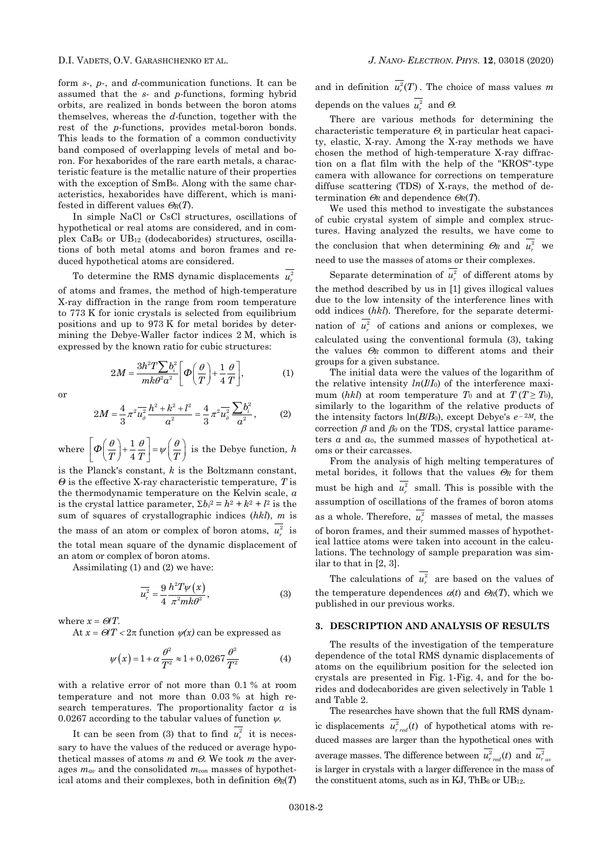form *s*-, *p*-, and *d*-communication functions. It can be assumed that the *s*- and *p*-functions, forming hybrid orbits, are realized in bonds between the boron atoms themselves, whereas the *d*-function, together with the rest of the *p*-functions, provides metal-boron bonds. This leads to the formation of a common conductivity band composed of overlapping levels of metal and boron. For hexaborides of the rare earth metals, a characteristic feature is the metallic nature of their properties with the exception of SmB6. Along with the same characteristics, hexaborides have different, which is manifested in different values  $\mathcal{O}_R(T)$ .

In simple NaCl or CsCl structures, oscillations of hypothetical or real atoms are considered, and in complex  $CaB<sub>6</sub>$  or  $UB<sub>12</sub>$  (dodecaborides) structures, oscillations of both metal atoms and boron frames and reduced hypothetical atoms are considered.

To determine the RMS dynamic displacements  $u_r^2$ of atoms and frames, the method of high-temperature X-ray diffraction in the range from room temperature to 773 K for ionic crystals is selected from equilibrium positions and up to 973 K for metal borides by determining the Debye-Waller factor indices 2 M, which is expressed by the known ratio for cubic structures:

$$
2M = \frac{3h^2T\sum b_i^2}{mk\theta^2 a^2} \bigg[\Phi\bigg(\frac{\theta}{T}\bigg) + \frac{1}{4}\frac{\theta}{T}\bigg],
$$
 (1)

or

$$
2M = \frac{4}{3}\pi^2 \overline{u_0^2} \frac{h^2 + k^2 + l^2}{a^2} = \frac{4}{3}\pi^2 \overline{u_0^2} \frac{\sum b_i^2}{a^2},
$$
 (2)

where  $\boxed{\phi\left(\frac{\theta}{n}\right)+\frac{1}{n}}$  $\Phi\left(\frac{\sigma}{T}\right)+\frac{1}{4}\frac{\sigma}{T}$  =  $\psi\left(\frac{\sigma}{T}\right)$  $\left(\frac{\theta}{\pi}\right) + \frac{1}{\pi} \frac{\theta}{\pi} = \psi\left(\frac{\theta}{\pi}\right)$  $\left[\Phi\left(\frac{\theta}{T}\right) + \frac{1}{4}\frac{\theta}{T}\right] = \psi\left(\frac{\theta}{T}\right)$  i is the Debye function, *h*

is the Planck's constant, *k* is the Boltzmann constant, *Θ* is the effective X-ray characteristic temperature, *T* is the thermodynamic temperature on the Kelvin scale, *a* is the crystal lattice parameter,  $\Sigma b_i^2 = h^2 + k^2 + l^2$  is the sum of squares of crystallographic indices (*hkl*), *m* is the mass of an atom or complex of boron atoms,  $u_r^2$  is the total mean square of the dynamic displacement of an atom or complex of boron atoms.

Assimilating (1) and (2) we have:

$$
\overline{u_r^2} = \frac{9}{4} \frac{h^2 T \psi(x)}{\pi^2 m k \theta^2},\tag{3}
$$

where  $x = \mathcal{O}/T$ .

At  $x = \Theta/T < 2\pi$  function  $\psi(x)$  can be expressed as

$$
\psi(x) = 1 + \alpha \frac{\theta^2}{T^2} \approx 1 + 0,0267 \frac{\theta^2}{T^2}
$$
 (4)

with a relative error of not more than 0.1 % at room temperature and not more than 0.03 % at high research temperatures. The proportionality factor *α* is 0.0267 according to the tabular values of function  $\psi$ .

It can be seen from (3) that to find  $u_r^2$  it is necessary to have the values of the reduced or average hypothetical masses of atoms  $m$  and  $\Theta$ . We took  $m$  the averages *mav* and the consolidated *mcon* masses of hypothetical atoms and their complexes, both in definition  $\mathcal{O}_R(T)$  and in definition  $u_r^2(T)$ . The choice of mass values m depends on the values  $u_r^2$  and  $\Theta$ .

There are various methods for determining the characteristic temperature  $\Theta$ , in particular heat capacity, elastic, X-ray. Among the X-ray methods we have chosen the method of high-temperature X-ray diffraction on a flat film with the help of the "KROS"-type camera with allowance for corrections on temperature diffuse scattering (TDS) of X-rays, the method of determination  $\mathcal{O}_R$  and dependence  $\mathcal{O}_R(T)$ .

We used this method to investigate the substances of cubic crystal system of simple and complex structures. Having analyzed the results, we have come to the conclusion that when determining  $\Theta_R$  and  $u_r^2$  we need to use the masses of atoms or their complexes.

Separate determination of  $u_r^2$  of different atoms by the method described by us in [1] gives illogical values due to the low intensity of the interference lines with odd indices (*hkl*). Therefore, for the separate determination of  $u_r^2$  of cations and anions or complexes, we calculated using the conventional formula (3), taking the values  $\Theta_R$  common to different atoms and their groups for a given substance.

The initial data were the values of the logarithm of the relative intensity  $ln(III_0)$  of the interference maximum (*hkl*) at room temperature  $T_0$  and at  $T(T \geq T_0)$ , similarly to the logarithm of the relative products of the intensity factors  $\ln(B/B_0)$ , except Debye's  $e^{-2M}$ , the correction  $\beta$  and  $\beta_0$  on the TDS, crystal lattice parameters *α* and *α*0, the summed masses of hypothetical atoms or their carcasses.

From the analysis of high melting temperatures of metal borides, it follows that the values  $\Theta_R$  for them must be high and  $u_r^2$  small. This is possible with the assumption of oscillations of the frames of boron atoms as a whole. Therefore,  $u_r^2$  masses of metal, the masses of boron frames, and their summed masses of hypothetical lattice atoms were taken into account in the calculations. The technology of sample preparation was similar to that in [2, 3].

The calculations of  $u_r^2$  are based on the values of the temperature dependences  $\alpha(t)$  and  $\Theta_R(T)$ , which we published in our previous works.

## **3. DESCRIPTION AND ANALYSIS OF RESULTS**

The results of the investigation of the temperature dependence of the total RMS dynamic displacements of atoms on the equilibrium position for the selected ion crystals are presented in Fig. 1-Fig. 4, and for the borides and dodecaborides are given selectively in Table 1 and Table 2.

The researches have shown that the full RMS dynamic displacements  $u_{r \text{ red}}^2(t)$  of hypothetical atoms with reduced masses are larger than the hypothetical ones with average masses. The difference between  $u_{r \text{ red}}^2(t)$  and  $u_{r \text{ arc}}^2$ is larger in crystals with a larger difference in the mass of the constituent atoms, such as in  $KJ$ , ThB $_6$  or UB<sub>12</sub>.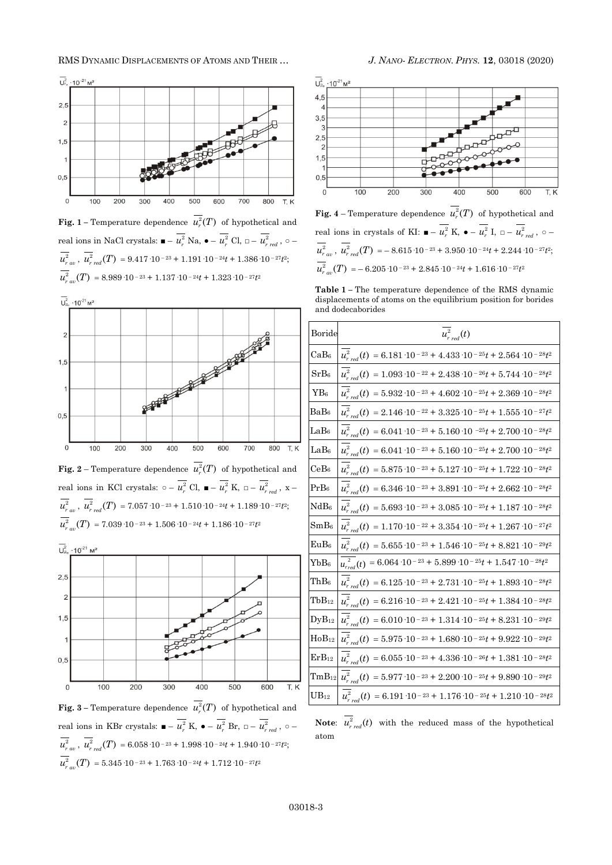

**Fig.** 1 – Temperature dependence  $u_r^2(T)$  of hypothetical and real ions in NaCl crystals:  $\blacksquare - u_r^2$  Na,  $\bullet - u_r^2$  Cl,  $\square - u_{r\ red}^2$ ,  $\circ$  $u_{r\,av}^2$ ,  $u_{r\,red}^2(T) = 9.417\cdot10^{-23} + 1.191\cdot10^{-24}t + 1.386\cdot10^{-27}t^2$ ;  $u_{r_{av}}^2(T) = 8.989 \cdot 10^{-23} + 1.137 \cdot 10^{-24} t + 1.323 \cdot 10^{-27} t^2$ 



**Fig.** 3 – Temperature dependence  $u_r^2(T)$  of hypothetical and real ions in KBr crystals:  $\blacksquare - u_r^2$  K,  $\blacklozenge - u_r^2$  Br,  $\square - u_{r\ red}^2$ ,  $\circ$  $u_{r\,\,av}^2$ ,  $u_{r\,\,red}^2(T)$  = 6.058·10<sup>-23</sup> + 1.998·10<sup>-24</sup>t + 1.940·10<sup>-27</sup>t<sup>2</sup>;  $u_{r_{av}}^2(T) = 5.345 \cdot 10^{-23} + 1.763 \cdot 10^{-24} t + 1.712 \cdot 10^{-27} t^2$ 



**Fig.** 4 – Temperature dependence  $u_r^2(T)$  of hypothetical and real ions in crystals of KI:  $\blacksquare - u_r^2$  K,  $\bullet - u_r^2$  I,  $\square - u_{r\ red}^2$ ,  $\circ$  $u_{r\,av}^2$ ,  $u_{r\,red}^2(T) = -8.615 \cdot 10^{-23} + 3.950 \cdot 10^{-24}t + 2.244 \cdot 10^{-27}t^2$ ;  $u_{r\,av}^{2}(T) = -6.205 \cdot 10^{-23} + 2.845 \cdot 10^{-24} t + 1.616 \cdot 10^{-27} t^{2}$ 

**Table 1 –** The temperature dependence of the RMS dynamic displacements of atoms on the equilibrium position for borides and dodecaborides

| Boride            | $\overline{u}_{r\, red}^2(t)$                                                                                |
|-------------------|--------------------------------------------------------------------------------------------------------------|
| $\rm CaB_6$       | $\overline{u_{r \, red}^2}(t) = 6.181 \cdot 10^{-23} + 4.433 \cdot 10^{-25}t + 2.564 \cdot 10^{-28}t^2$      |
| SrB <sub>6</sub>  | $\overline{u_{r \, red}^2}(t) = 1.093 \cdot 10^{-22} + 2.438 \cdot 10^{-26}t + 5.744 \cdot 10^{-28}t^2$      |
| $YB_6$            | $\overline{u_{r \text{ red}}^2}(t) = 5.932 \cdot 10^{-23} + 4.602 \cdot 10^{-25}t + 2.369 \cdot 10^{-28}t^2$ |
| BaB <sub>6</sub>  | $u_{r\,red}^2(t) = 2.146 \cdot 10^{-22} + 3.325 \cdot 10^{-25}t + 1.555 \cdot 10^{-27}t^2$                   |
| LaB <sub>6</sub>  | $u_{r \, red}^2(t) = 6.041 \cdot 10^{-23} + 5.160 \cdot 10^{-25}t + 2.700 \cdot 10^{-28}t^2$                 |
| LaB <sub>6</sub>  | $u_{r,red}^2(t) = 6.041 \cdot 10^{-23} + 5.160 \cdot 10^{-25}t + 2.700 \cdot 10^{-28}t^2$                    |
| CeB <sub>6</sub>  | $\overline{u_{r\ red}^2}(t) = 5.875\cdot 10^{-23} + 5.127\cdot 10^{-25}t + 1.722\cdot 10^{-28}t^2$           |
| $PrB_6$           | $\overline{u_{r\,red}^2}(t) = 6.346 \cdot 10^{-23} + 3.891 \cdot 10^{-25}t + 2.662 \cdot 10^{-28}t^2$        |
| NdB <sub>6</sub>  | $\overline{u_{r\,red}^2}(t) = 5.693 \cdot 10^{-23} + 3.085 \cdot 10^{-25}t + 1.187 \cdot 10^{-28}t^2$        |
| $SmB_6$           | $u_{r\,red}^2(t) = 1.170 \cdot 10^{-22} + 3.354 \cdot 10^{-25}t + 1.267 \cdot 10^{-27}t^2$                   |
| EuBe              | $\overline{u_{r\ red}^2}(t) = 5.655 \cdot 10^{-23} + 1.546 \cdot 10^{-25}t + 8.821 \cdot 10^{-29}t^2$        |
| ${\rm YbB_6}$     | $u_{\text{red}}^2(t) = 6.064 \cdot 10^{-23} + 5.899 \cdot 10^{-25}t + 1.547 \cdot 10^{-28}t^2$               |
| ${\rm ThB_6}$     | $\overline{u_{r \, red}^2}(t) = 6.125 \cdot 10^{-23} + 2.731 \cdot 10^{-25}t + 1.893 \cdot 10^{-28}t^2$      |
| $_{\rm TbB_{12}}$ | $\overline{u_{r\,red}^2}(t) = 6.216\cdot 10^{-23} + 2.421\cdot 10^{-25}t + 1.384\cdot 10^{-28}t^2$           |
| $D_yB_{12}$       | $u_{r\,red}^2(t) = 6.010 \cdot 10^{-23} + 1.314 \cdot 10^{-25}t + 8.231 \cdot 10^{-29}t^2$                   |
| $HoB_{12}$        | $u_{r\,red}^2(t) = 5.975\cdot 10^{-23} + 1.680\cdot 10^{-25}t + 9.922\cdot 10^{-29}t^2$                      |
| $ErB_{12}$        | $u_{r \, red}^2(t) = 6.055 \cdot 10^{-23} + 4.336 \cdot 10^{-26}t + 1.381 \cdot 10^{-28}t^2$                 |
| $\rm{TmB_{12}}$   | $u_{r \, red}^2(t) = 5.977 \cdot 10^{-23} + 2.200 \cdot 10^{-25}t + 9.890 \cdot 10^{-29}t^2$                 |
| $\rm UB_{12}$     | $u_{r,red}^2(t) = 6.191 \cdot 10^{-23} + 1.176 \cdot 10^{-25}t + 1.210 \cdot 10^{-28}t^2$                    |

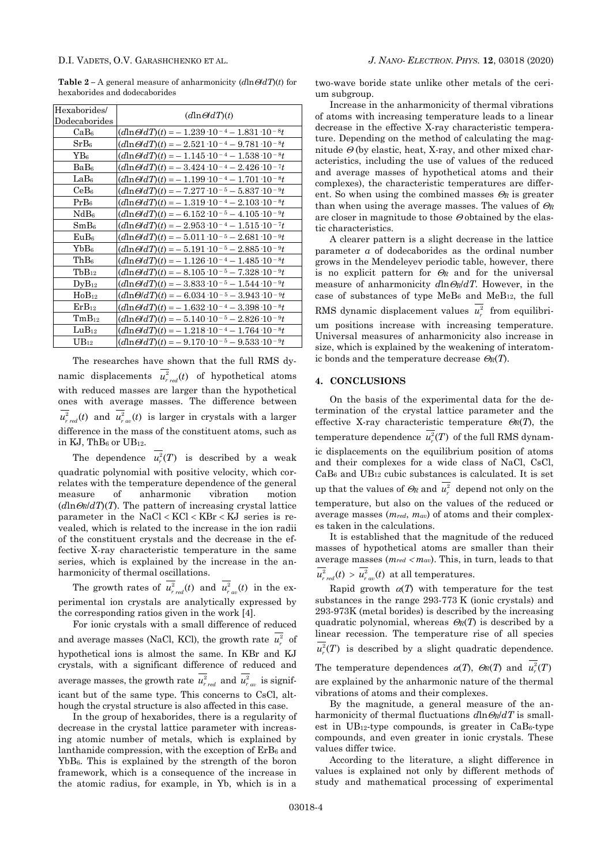**Table** 2 – A general measure of anharmonicity  $(d \ln \Theta dT)(t)$  for hexaborides and dodecaborides

| Hexaborides/<br>Dodecaborides | $(d \ln \Theta dT)(t)$                                                  |
|-------------------------------|-------------------------------------------------------------------------|
| CaB <sub>6</sub>              | $(d \ln \Theta dT)(t) = -1.239 \cdot 10^{-4} - 1.831 \cdot 10^{-8}t$    |
| SrB <sub>6</sub>              | $(d \ln \Theta dT)(t) =$ - 2.521 $\cdot$ 10 - 4 - 9.781 $\cdot$ 10 - 8t |
| $YB_6$                        | $(d \ln \Theta dT)(t) = -1.145 \cdot 10^{-4} - 1.538 \cdot 10^{-8}t$    |
| BaB <sub>6</sub>              | $(d \ln \Theta dT)(t) = -3.424 \cdot 10^{-4} - 2.426 \cdot 10^{-7}t$    |
| LaB <sub>6</sub>              | $(d \ln \Theta/dT)(t) = -1.199 \cdot 10^{-4} - 1.701 \cdot 10^{-8}t$    |
| CeB6                          | $(d \ln \Theta dT)(t) = -7.277 \cdot 10^{-5} - 5.837 \cdot 10^{-9}t$    |
| PrB <sub>6</sub>              | $(d \ln \Theta/dT)(t) = -1.319 \cdot 10^{-4} - 2.103 \cdot 10^{-8}t$    |
| NdB <sub>6</sub>              | $(d \ln \Theta dT)(t) = -6.152 \cdot 10^{-5} - 4.105 \cdot 10^{-9}t$    |
| SmB <sub>6</sub>              | $(d \ln \Theta dT)(t) = -2.953 \cdot 10^{-4} - 1.515 \cdot 10^{-7}t$    |
| EuB <sub>6</sub>              | $(d \ln \Theta dT)(t) = -5.011 \cdot 10^{-5} - 2.681 \cdot 10^{-9}t$    |
| YbB <sub>6</sub>              | $(d \ln \Theta dT)(t) = -5.191 \cdot 10^{-5} - 2.885 \cdot 10^{-9}t$    |
| ThB <sub>6</sub>              | $(d \ln \Theta dT)(t) = -1.126 \cdot 10^{-4} - 1.485 \cdot 10^{-8}t$    |
| $TbB_{12}$                    | $(d \ln \Theta dT)(t) = -8.105 \cdot 10^{-5} - 7.328 \cdot 10^{-9}t$    |
| $\rm DyB_{12}$                | $(d \ln \Theta dT)(t) = -3.833 \cdot 10^{-5} - 1.544 \cdot 10^{-9}t$    |
| $HoB_{12}$                    | $(d \ln \Theta/dT)(t) = -6.034 \cdot 10^{-5} - 3.943 \cdot 10^{-9}t$    |
| $ErB_{12}$                    | $(d \ln \Theta/dT)(t) = -1.632 \cdot 10^{-4} - 3.398 \cdot 10^{-8}t$    |
| $TmB_{12}$                    | $(d \ln \Theta/dT)(t) = -5.140 \cdot 10^{-5} - 2.826 \cdot 10^{-9}t$    |
| $LuB_{12}$                    | $(d \ln \Theta dT)(t) = -1.218 \cdot 10^{-4} - 1.764 \cdot 10^{-8}t$    |
| $UB_{12}$                     | $(d \ln \Theta dT)(t) = -9.170 \cdot 10^{-5} - 9.533 \cdot 10^{-9}t$    |

The researches have shown that the full RMS dynamic displacements  $u_{r \text{ red}}^2(t)$  of hypothetical atoms with reduced masses are larger than the hypothetical ones with average masses. The difference between  $u_{rad}^2(t)$  and  $u_{rad}^2(t)$  is larger in crystals with a larger difference in the mass of the constituent atoms, such as in KJ, Th $B_6$  or UB12.

The dependence  $u_r^2(T)$  is described by a weak quadratic polynomial with positive velocity, which correlates with the temperature dependence of the general measure of anharmonic vibration motion  $(d \ln \Theta_R/dT)$ . The pattern of increasing crystal lattice parameter in the  $NaCl < KCl < KBr < KJ$  series is revealed, which is related to the increase in the ion radii of the constituent crystals and the decrease in the effective X-ray characteristic temperature in the same series, which is explained by the increase in the anharmonicity of thermal oscillations.

The growth rates of  $u_{r \text{ red}}^2(t)$  and  $u_{r \text{ av}}^2(t)$  in the experimental ion crystals are analytically expressed by the corresponding ratios given in the work [4].

For ionic crystals with a small difference of reduced and average masses (NaCl, KCl), the growth rate  $u_r^2$  of hypothetical ions is almost the same. In KBr and KJ crystals, with a significant difference of reduced and average masses, the growth rate  $u_{r_{red}}^2$  and  $u_{r_{av}}^2$  is significant but of the same type. This concerns to CsCl, although the crystal structure is also affected in this case.

In the group of hexaborides, there is a regularity of decrease in the crystal lattice parameter with increasing atomic number of metals, which is explained by lanthanide compression, with the exception of ErB<sub>6</sub> and YbB6. This is explained by the strength of the boron framework, which is a consequence of the increase in the atomic radius, for example, in Yb, which is in a

two-wave boride state unlike other metals of the cerium subgroup.

Increase in the anharmonicity of thermal vibrations of atoms with increasing temperature leads to a linear decrease in the effective X-ray characteristic temperature. Depending on the method of calculating the magnitude  $\Theta$  (by elastic, heat, X-ray, and other mixed characteristics, including the use of values of the reduced and average masses of hypothetical atoms and their complexes), the characteristic temperatures are different. So when using the combined masses  $\mathcal{O}_R$  is greater than when using the average masses. The values of  $\mathcal{O}_R$ are closer in magnitude to those  $\Theta$  obtained by the elastic characteristics.

A clearer pattern is a slight decrease in the lattice parameter *a* of dodecaborides as the ordinal number grows in the Mendeleyev periodic table, however, there is no explicit pattern for  $\mathcal{O}_R$  and for the universal measure of anharmonicity  $d\ln\Theta_R/dT$ . However, in the case of substances of type MeB<sub>6</sub> and MeB<sub>12</sub>, the full RMS dynamic displacement values  $u_r^2$  from equilibrium positions increase with increasing temperature. Universal measures of anharmonicity also increase in size, which is explained by the weakening of interatomic bonds and the temperature decrease  $\mathcal{O}_R(T)$ .

#### **4. CONCLUSIONS**

On the basis of the experimental data for the determination of the crystal lattice parameter and the effective X-ray characteristic temperature  $\mathcal{O}_R(T)$ , the temperature dependence  $u_r^2(T)$  of the full RMS dynamic displacements on the equilibrium position of atoms and their complexes for a wide class of NaCl, CsCl,  $CaB<sub>6</sub>$  and  $UB<sub>12</sub>$  cubic substances is calculated. It is set up that the values of  $\mathcal{O}_R$  and  $u_r^2$  depend not only on the temperature, but also on the values of the reduced or average masses (*mred*, *mav*) of atoms and their complexes taken in the calculations.

It is established that the magnitude of the reduced masses of hypothetical atoms are smaller than their average masses  $(m_{red} < m_{av})$ . This, in turn, leads to that  $u_{rad}^2(t) > u_{rad}^2(t)$  at all temperatures.

Rapid growth  $\alpha(T)$  with temperature for the test substances in the range 293-773 K (ionic crystals) and 293-973K (metal borides) is described by the increasing quadratic polynomial, whereas  $\mathcal{O}_R(T)$  is described by a linear recession. The temperature rise of all species  $u_r^2(T)$  is described by a slight quadratic dependence. The temperature dependences  $\alpha(T)$ ,  $\Theta_R(T)$  and  $u_r^2(T)$ are explained by the anharmonic nature of the thermal vibrations of atoms and their complexes. By the magnitude, a general measure of the an-

harmonicity of thermal fluctuations  $d \ln \Theta_R/dT$  is smallest in  $UB_{12}$ -type compounds, is greater in  $CaB<sub>6</sub>$ -type compounds, and even greater in ionic crystals. These values differ twice.

According to the literature, a slight difference in values is explained not only by different methods of study and mathematical processing of experimental